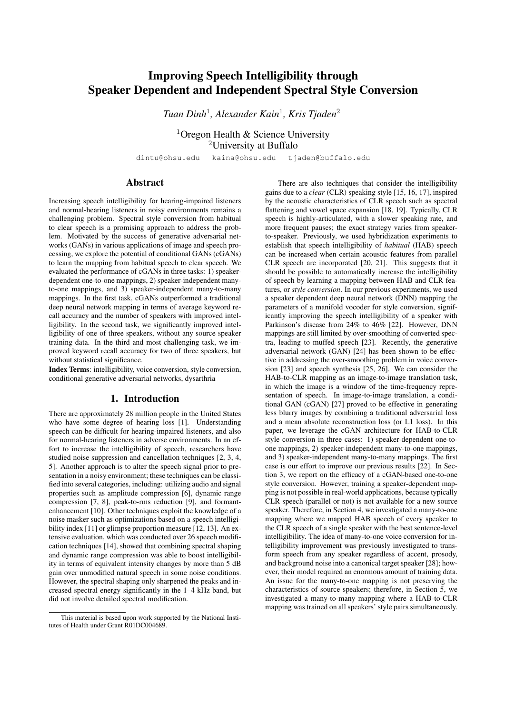# Improving Speech Intelligibility through Speaker Dependent and Independent Spectral Style Conversion

*Tuan Dinh*<sup>1</sup> *, Alexander Kain*<sup>1</sup> *, Kris Tjaden*<sup>2</sup>

<sup>1</sup>Oregon Health & Science University <sup>2</sup>University at Buffalo

dintu@ohsu.edu kaina@ohsu.edu tjaden@buffalo.edu

## Abstract

Increasing speech intelligibility for hearing-impaired listeners and normal-hearing listeners in noisy environments remains a challenging problem. Spectral style conversion from habitual to clear speech is a promising approach to address the problem. Motivated by the success of generative adversarial networks (GANs) in various applications of image and speech processing, we explore the potential of conditional GANs (cGANs) to learn the mapping from habitual speech to clear speech. We evaluated the performance of cGANs in three tasks: 1) speakerdependent one-to-one mappings, 2) speaker-independent manyto-one mappings, and 3) speaker-independent many-to-many mappings. In the first task, cGANs outperformed a traditional deep neural network mapping in terms of average keyword recall accuracy and the number of speakers with improved intelligibility. In the second task, we significantly improved intelligibility of one of three speakers, without any source speaker training data. In the third and most challenging task, we improved keyword recall accuracy for two of three speakers, but without statistical significance.

Index Terms: intelligibility, voice conversion, style conversion, conditional generative adversarial networks, dysarthria

### 1. Introduction

There are approximately 28 million people in the United States who have some degree of hearing loss [1]. Understanding speech can be difficult for hearing-impaired listeners, and also for normal-hearing listeners in adverse environments. In an effort to increase the intelligibility of speech, researchers have studied noise suppression and cancellation techniques [2, 3, 4, 5]. Another approach is to alter the speech signal prior to presentation in a noisy environment; these techniques can be classified into several categories, including: utilizing audio and signal properties such as amplitude compression [6], dynamic range compression [7, 8], peak-to-rms reduction [9], and formantenhancement [10]. Other techniques exploit the knowledge of a noise masker such as optimizations based on a speech intelligibility index [11] or glimpse proportion measure [12, 13]. An extensive evaluation, which was conducted over 26 speech modification techniques [14], showed that combining spectral shaping and dynamic range compression was able to boost intelligibility in terms of equivalent intensity changes by more than 5 dB gain over unmodified natural speech in some noise conditions. However, the spectral shaping only sharpened the peaks and increased spectral energy significantly in the 1–4 kHz band, but did not involve detailed spectral modification.

There are also techniques that consider the intelligibility gains due to a *clear* (CLR) speaking style [15, 16, 17], inspired by the acoustic characteristics of CLR speech such as spectral flattening and vowel space expansion [18, 19]. Typically, CLR speech is highly-articulated, with a slower speaking rate, and more frequent pauses; the exact strategy varies from speakerto-speaker. Previously, we used hybridization experiments to establish that speech intelligibility of *habitual* (HAB) speech can be increased when certain acoustic features from parallel CLR speech are incorporated [20, 21]. This suggests that it should be possible to automatically increase the intelligibility of speech by learning a mapping between HAB and CLR features, or *style conversion*. In our previous experiments, we used a speaker dependent deep neural network (DNN) mapping the parameters of a manifold vocoder for style conversion, significantly improving the speech intelligibility of a speaker with Parkinson's disease from 24% to 46% [22]. However, DNN mappings are still limited by over-smoothing of converted spectra, leading to muffed speech [23]. Recently, the generative adversarial network (GAN) [24] has been shown to be effective in addressing the over-smoothing problem in voice conversion [23] and speech synthesis [25, 26]. We can consider the HAB-to-CLR mapping as an image-to-image translation task, in which the image is a window of the time-frequency representation of speech. In image-to-image translation, a conditional GAN (cGAN) [27] proved to be effective in generating less blurry images by combining a traditional adversarial loss and a mean absolute reconstruction loss (or L1 loss). In this paper, we leverage the cGAN architecture for HAB-to-CLR style conversion in three cases: 1) speaker-dependent one-toone mappings, 2) speaker-independent many-to-one mappings, and 3) speaker-independent many-to-many mappings. The first case is our effort to improve our previous results [22]. In Section 3, we report on the efficacy of a cGAN-based one-to-one style conversion. However, training a speaker-dependent mapping is not possible in real-world applications, because typically CLR speech (parallel or not) is not available for a new source speaker. Therefore, in Section 4, we investigated a many-to-one mapping where we mapped HAB speech of every speaker to the CLR speech of a single speaker with the best sentence-level intelligibility. The idea of many-to-one voice conversion for intelligibility improvement was previously investigated to transform speech from any speaker regardless of accent, prosody, and background noise into a canonical target speaker [28]; however, their model required an enormous amount of training data. An issue for the many-to-one mapping is not preserving the characteristics of source speakers; therefore, in Section 5, we investigated a many-to-many mapping where a HAB-to-CLR mapping was trained on all speakers' style pairs simultaneously.

This material is based upon work supported by the National Institutes of Health under Grant R01DC004689.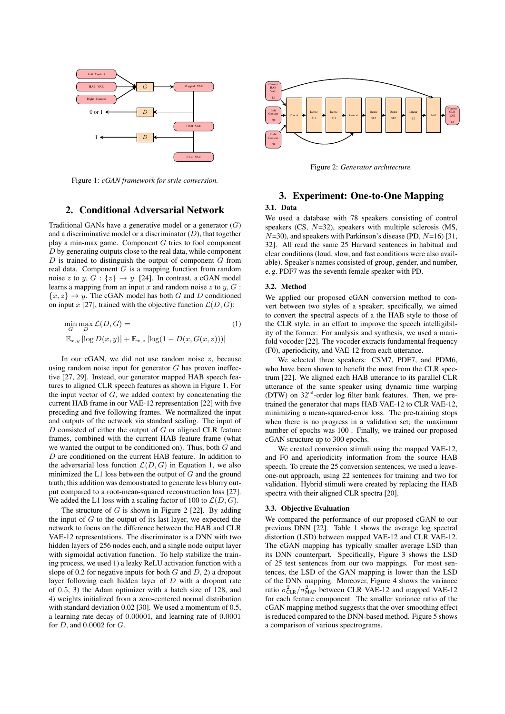

Figure 1: *cGAN framework for style conversion.*

## 2. Conditional Adversarial Network

Traditional GANs have a generative model or a generator  $(G)$ and a discriminative model or a discriminator  $(D)$ , that together play a min-max game. Component G tries to fool component D by generating outputs close to the real data, while component  $D$  is trained to distinguish the output of component  $G$  from real data. Component  $G$  is a mapping function from random noise z to y,  $G: \{z\} \rightarrow y$  [24]. In contrast, a cGAN model learns a mapping from an input x and random noise  $z$  to  $y$ ,  $G$ :  ${x, z} \rightarrow y$ . The cGAN model has both G and D conditioned on input x [27], trained with the objective function  $\mathcal{L}(D, G)$ :

$$
\min_{G} \max_{D} \mathcal{L}(D, G) =
$$
  
\n
$$
\mathbb{E}_{x,y} [\log D(x, y)] + \mathbb{E}_{x,z} [\log(1 - D(x, G(x, z)))]
$$
\n(1)

In our cGAN, we did not use random noise  $z$ , because using random noise input for generator  $G$  has proven ineffective [27, 29]. Instead, our generator mapped HAB speech features to aligned CLR speech features as shown in Figure 1. For the input vector of  $G$ , we added context by concatenating the current HAB frame in our VAE-12 representation [22] with five preceding and five following frames. We normalized the input and outputs of the network via standard scaling. The input of  $D$  consisted of either the output of  $G$  or aligned CLR feature frames, combined with the current HAB feature frame (what we wanted the output to be conditioned on). Thus, both  $G$  and D are conditioned on the current HAB feature. In addition to the adversarial loss function  $\mathcal{L}(D, G)$  in Equation 1, we also minimized the L1 loss between the output of  $G$  and the ground truth; this addition was demonstrated to generate less blurry output compared to a root-mean-squared reconstruction loss [27]. We added the L1 loss with a scaling factor of 100 to  $\mathcal{L}(D, G)$ .

The structure of  $G$  is shown in Figure 2 [22]. By adding the input of  $G$  to the output of its last layer, we expected the network to focus on the difference between the HAB and CLR VAE-12 representations. The discriminator is a DNN with two hidden layers of 256 nodes each, and a single node output layer with sigmoidal activation function. To help stabilize the training process, we used 1) a leaky ReLU activation function with a slope of 0.2 for negative inputs for both  $G$  and  $D$ , 2) a dropout layer following each hidden layer of  $D$  with a dropout rate of 0.5, 3) the Adam optimizer with a batch size of 128, and 4) weights initialized from a zero-centered normal distribution with standard deviation 0.02 [30]. We used a momentum of 0.5, a learning rate decay of 0.00001, and learning rate of 0.0001 for  $D$ , and  $0.0002$  for  $G$ .



Figure 2: *Generator architecture.*

# 3. Experiment: One-to-One Mapping

# 3.1. Data

We used a database with 78 speakers consisting of control speakers (CS, N=32), speakers with multiple sclerosis (MS,  $N=30$ ), and speakers with Parkinson's disease (PD,  $N=16$ ) [31, 32]. All read the same 25 Harvard sentences in habitual and clear conditions (loud, slow, and fast conditions were also available). Speaker's names consisted of group, gender, and number, e. g. PDF7 was the seventh female speaker with PD.

#### 3.2. Method

We applied our proposed cGAN conversion method to convert between two styles of a speaker; specifically, we aimed to convert the spectral aspects of a the HAB style to those of the CLR style, in an effort to improve the speech intelligibility of the former. For analysis and synthesis, we used a manifold vocoder [22]. The vocoder extracts fundamental frequency (F0), aperiodicity, and VAE-12 from each utterance.

We selected three speakers: CSM7, PDF7, and PDM6, who have been shown to benefit the most from the CLR spectrum [22]. We aligned each HAB utterance to its parallel CLR utterance of the same speaker using dynamic time warping (DTW) on 32nd-order log filter bank features. Then, we pretrained the generator that maps HAB VAE-12 to CLR VAE-12, minimizing a mean-squared-error loss. The pre-training stops when there is no progress in a validation set; the maximum number of epochs was 100 . Finally, we trained our proposed cGAN structure up to 300 epochs.

We created conversion stimuli using the mapped VAE-12, and F0 and aperiodicity information from the source HAB speech. To create the 25 conversion sentences, we used a leaveone-out approach, using 22 sentences for training and two for validation. Hybrid stimuli were created by replacing the HAB spectra with their aligned CLR spectra [20].

#### 3.3. Objective Evaluation

We compared the performance of our proposed cGAN to our previous DNN [22]. Table 1 shows the average log spectral distortion (LSD) between mapped VAE-12 and CLR VAE-12. The cGAN mapping has typically smaller average LSD than its DNN counterpart. Specifically, Figure 3 shows the LSD of 25 test sentences from our two mappings. For most sentences, the LSD of the GAN mapping is lower than the LSD of the DNN mapping. Moreover, Figure 4 shows the variance ratio  $\sigma_{CLR}^2 / \sigma_{MAP}^2$  between CLR VAE-12 and mapped VAE-12 for each feature component. The smaller variance ratio of the cGAN mapping method suggests that the over-smoothing effect is reduced compared to the DNN-based method. Figure 5 shows a comparison of various spectrograms.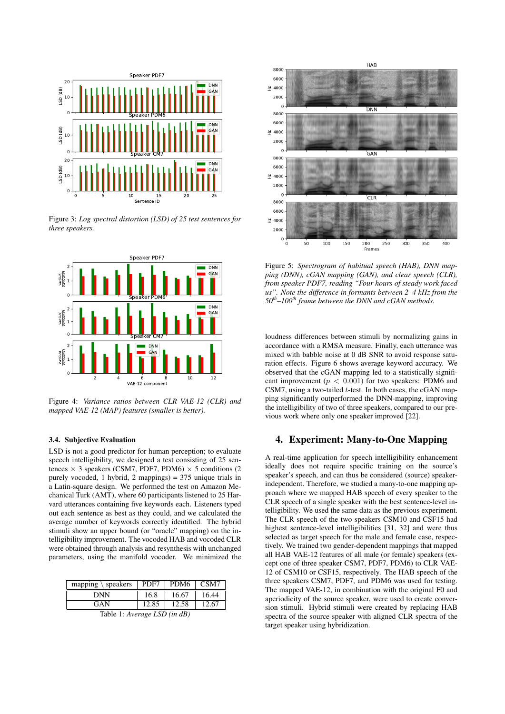

Figure 3: *Log spectral distortion (LSD) of 25 test sentences for three speakers.*



Figure 4: *Variance ratios between CLR VAE-12 (CLR) and mapped VAE-12 (MAP) features (smaller is better).*

## 3.4. Subjective Evaluation

LSD is not a good predictor for human perception; to evaluate speech intelligibility, we designed a test consisting of 25 sentences  $\times$  3 speakers (CSM7, PDF7, PDM6)  $\times$  5 conditions (2 purely vocoded, 1 hybrid, 2 mappings) = 375 unique trials in a Latin-square design. We performed the test on Amazon Mechanical Turk (AMT), where 60 participants listened to 25 Harvard utterances containing five keywords each. Listeners typed out each sentence as best as they could, and we calculated the average number of keywords correctly identified. The hybrid stimuli show an upper bound (or "oracle" mapping) on the intelligibility improvement. The vocoded HAB and vocoded CLR were obtained through analysis and resynthesis with unchanged parameters, using the manifold vocoder. We minimized the

| $\setminus$ speakers<br>mapping | PDF7  | PDM <sub>6</sub> | CSM7  |
|---------------------------------|-------|------------------|-------|
| DNN                             | 16.8  | 16.67            | 16.44 |
| GAN                             | 12.85 | 12.58            | 12.67 |

Table 1: *Average LSD (in dB)*



Figure 5: *Spectrogram of habitual speech (HAB), DNN mapping (DNN), cGAN mapping (GAN), and clear speech (CLR), from speaker PDF7, reading "Four hours of steady work faced us". Note the difference in formants between 2–4 kHz from the 50th–100th frame between the DNN and cGAN methods.*

loudness differences between stimuli by normalizing gains in accordance with a RMSA measure. Finally, each utterance was mixed with babble noise at 0 dB SNR to avoid response saturation effects. Figure 6 shows average keyword accuracy. We observed that the cGAN mapping led to a statistically significant improvement ( $p < 0.001$ ) for two speakers: PDM6 and CSM7, using a two-tailed t-test. In both cases, the cGAN mapping significantly outperformed the DNN-mapping, improving the intelligibility of two of three speakers, compared to our previous work where only one speaker improved [22].

## 4. Experiment: Many-to-One Mapping

A real-time application for speech intelligibility enhancement ideally does not require specific training on the source's speaker's speech, and can thus be considered (source) speakerindependent. Therefore, we studied a many-to-one mapping approach where we mapped HAB speech of every speaker to the CLR speech of a single speaker with the best sentence-level intelligibility. We used the same data as the previous experiment. The CLR speech of the two speakers CSM10 and CSF15 had highest sentence-level intelligibilities [31, 32] and were thus selected as target speech for the male and female case, respectively. We trained two gender-dependent mappings that mapped all HAB VAE-12 features of all male (or female) speakers (except one of three speaker CSM7, PDF7, PDM6) to CLR VAE-12 of CSM10 or CSF15, respectively. The HAB speech of the three speakers CSM7, PDF7, and PDM6 was used for testing. The mapped VAE-12, in combination with the original F0 and aperiodicity of the source speaker, were used to create conversion stimuli. Hybrid stimuli were created by replacing HAB spectra of the source speaker with aligned CLR spectra of the target speaker using hybridization.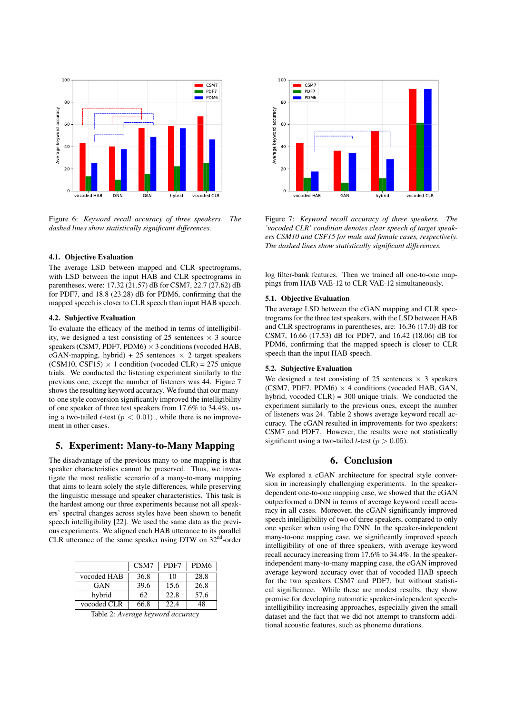

Figure 6: *Keyword recall accuracy of three speakers. The dashed lines show statistically significant differences.*

### 4.1. Objective Evaluation

The average LSD between mapped and CLR spectrograms, with LSD between the input HAB and CLR spectrograms in parentheses, were: 17.32 (21.57) dB for CSM7, 22.7 (27.62) dB for PDF7, and 18.8 (23.28) dB for PDM6, confirming that the mapped speech is closer to CLR speech than input HAB speech.

#### 4.2. Subjective Evaluation

To evaluate the efficacy of the method in terms of intelligibility, we designed a test consisting of 25 sentences  $\times$  3 source speakers (CSM7, PDF7, PDM6)  $\times$  3 conditions (vocoded HAB, cGAN-mapping, hybrid) + 25 sentences  $\times$  2 target speakers (CSM10, CSF15)  $\times$  1 condition (vocoded CLR) = 275 unique trials. We conducted the listening experiment similarly to the previous one, except the number of listeners was 44. Figure 7 shows the resulting keyword accuracy. We found that our manyto-one style conversion significantly improved the intelligibility of one speaker of three test speakers from 17.6% to 34.4%, using a two-tailed t-test ( $p < 0.01$ ), while there is no improvement in other cases.

# 5. Experiment: Many-to-Many Mapping

The disadvantage of the previous many-to-one mapping is that speaker characteristics cannot be preserved. Thus, we investigate the most realistic scenario of a many-to-many mapping that aims to learn solely the style differences, while preserving the linguistic message and speaker characteristics. This task is the hardest among our three experiments because not all speakers' spectral changes across styles have been shown to benefit speech intelligibility [22]. We used the same data as the previous experiments. We aligned each HAB utterance to its parallel CLR utterance of the same speaker using DTW on  $32<sup>nd</sup>$ -order

|             | CSM7 | PDF7 | PDM <sub>6</sub> |
|-------------|------|------|------------------|
| vocoded HAB | 36.8 | 10   | 28.8             |
| GAN         | 39.6 | 15.6 | 26.8             |
| hybrid      | 62   | 22.8 | 57.6             |
| vocoded CLR | 66.8 | 22.4 | 18               |

Table 2: *Average keyword accuracy*



Figure 7: *Keyword recall accuracy of three speakers. The 'vocoded CLR' condition denotes clear speech of target speakers CSM10 and CSF15 for male and female cases, respectively. The dashed lines show statistically significant differences.*

log filter-bank features. Then we trained all one-to-one mappings from HAB VAE-12 to CLR VAE-12 simultaneously.

#### 5.1. Objective Evaluation

The average LSD between the cGAN mapping and CLR spectrograms for the three test speakers, with the LSD between HAB and CLR spectrograms in parentheses, are: 16.36 (17.0) dB for CSM7, 16.66 (17.53) dB for PDF7, and 16.42 (18.06) dB for PDM6, confirming that the mapped speech is closer to CLR speech than the input HAB speech.

#### 5.2. Subjective Evaluation

We designed a test consisting of 25 sentences  $\times$  3 speakers (CSM7, PDF7, PDM6)  $\times$  4 conditions (vocoded HAB, GAN, hybrid, vocoded CLR) = 300 unique trials. We conducted the experiment similarly to the previous ones, except the number of listeners was 24. Table 2 shows average keyword recall accuracy. The cGAN resulted in improvements for two speakers: CSM7 and PDF7. However, the results were not statistically significant using a two-tailed *t*-test ( $p > 0.05$ ).

## 6. Conclusion

We explored a cGAN architecture for spectral style conversion in increasingly challenging experiments. In the speakerdependent one-to-one mapping case, we showed that the cGAN outperformed a DNN in terms of average keyword recall accuracy in all cases. Moreover, the cGAN significantly improved speech intelligibility of two of three speakers, compared to only one speaker when using the DNN. In the speaker-independent many-to-one mapping case, we significantly improved speech intelligibility of one of three speakers, with average keyword recall accuracy increasing from 17.6% to 34.4%. In the speakerindependent many-to-many mapping case, the cGAN improved average keyword accuracy over that of vocoded HAB speech for the two speakers CSM7 and PDF7, but without statistical significance. While these are modest results, they show promise for developing automatic speaker-independent speechintelligibility increasing approaches, especially given the small dataset and the fact that we did not attempt to transform additional acoustic features, such as phoneme durations.